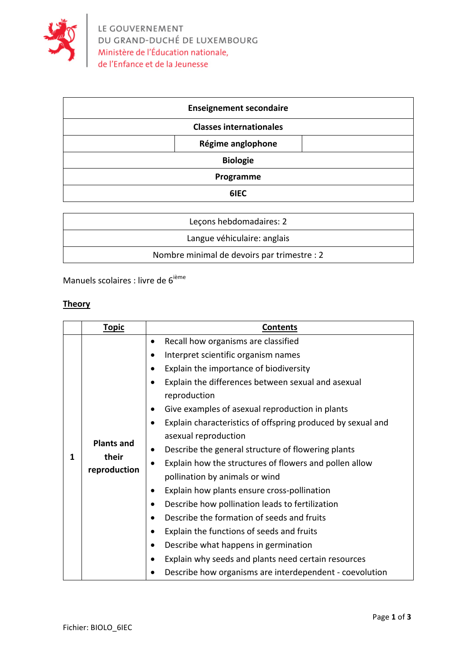

| <b>Enseignement secondaire</b> |  |  |
|--------------------------------|--|--|
| <b>Classes internationales</b> |  |  |
| Régime anglophone              |  |  |
| <b>Biologie</b>                |  |  |
| Programme                      |  |  |
| 6IEC                           |  |  |

| Lecons hebdomadaires: 2                     |
|---------------------------------------------|
| Langue véhiculaire: anglais                 |
| Nombre minimal de devoirs par trimestre : 2 |

Manuels scolaires : livre de  $6^{i\text{ème}}$ 

## **Theory**

|   | <b>Topic</b>                               | <b>Contents</b>                                                    |
|---|--------------------------------------------|--------------------------------------------------------------------|
| 1 | <b>Plants and</b><br>their<br>reproduction | Recall how organisms are classified                                |
|   |                                            | Interpret scientific organism names                                |
|   |                                            | Explain the importance of biodiversity                             |
|   |                                            | Explain the differences between sexual and asexual<br>reproduction |
|   |                                            | Give examples of asexual reproduction in plants                    |
|   |                                            | Explain characteristics of offspring produced by sexual and        |
|   |                                            | asexual reproduction                                               |
|   |                                            | Describe the general structure of flowering plants                 |
|   |                                            | Explain how the structures of flowers and pollen allow             |
|   |                                            | pollination by animals or wind                                     |
|   |                                            | Explain how plants ensure cross-pollination                        |
|   |                                            | Describe how pollination leads to fertilization                    |
|   |                                            | Describe the formation of seeds and fruits                         |
|   |                                            | Explain the functions of seeds and fruits                          |
|   |                                            | Describe what happens in germination                               |
|   |                                            | Explain why seeds and plants need certain resources                |
|   |                                            | Describe how organisms are interdependent - coevolution            |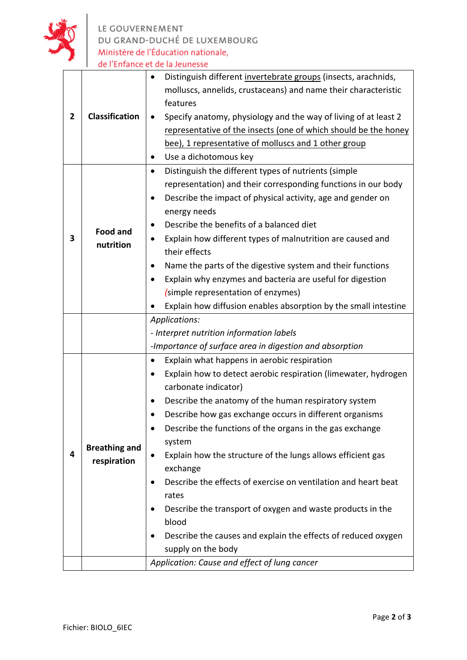

| <b>Classification</b><br>$\overline{\mathbf{2}}$ |                                              | Distinguish different invertebrate groups (insects, arachnids,<br>molluscs, annelids, crustaceans) and name their characteristic<br>features<br>Specify anatomy, physiology and the way of living of at least 2<br>$\bullet$<br>representative of the insects (one of which should be the honey<br>bee), 1 representative of molluscs and 1 other group<br>Use a dichotomous key                                                                                                                                                                                                                                                                                          |  |
|--------------------------------------------------|----------------------------------------------|---------------------------------------------------------------------------------------------------------------------------------------------------------------------------------------------------------------------------------------------------------------------------------------------------------------------------------------------------------------------------------------------------------------------------------------------------------------------------------------------------------------------------------------------------------------------------------------------------------------------------------------------------------------------------|--|
| 3                                                | <b>Food and</b><br>nutrition                 | Distinguish the different types of nutrients (simple<br>$\bullet$<br>representation) and their corresponding functions in our body<br>Describe the impact of physical activity, age and gender on<br>energy needs<br>Describe the benefits of a balanced diet<br>Explain how different types of malnutrition are caused and<br>$\bullet$<br>their effects<br>Name the parts of the digestive system and their functions<br>Explain why enzymes and bacteria are useful for digestion<br>(simple representation of enzymes)<br>Explain how diffusion enables absorption by the small intestine                                                                             |  |
|                                                  |                                              | Applications:<br>- Interpret nutrition information labels                                                                                                                                                                                                                                                                                                                                                                                                                                                                                                                                                                                                                 |  |
|                                                  |                                              | -Importance of surface area in digestion and absorption                                                                                                                                                                                                                                                                                                                                                                                                                                                                                                                                                                                                                   |  |
| 4                                                | <b>Breathing and</b><br>respiration          | Explain what happens in aerobic respiration<br>٠<br>Explain how to detect aerobic respiration (limewater, hydrogen<br>$\bullet$<br>carbonate indicator)<br>Describe the anatomy of the human respiratory system<br>٠<br>Describe how gas exchange occurs in different organisms<br>Describe the functions of the organs in the gas exchange<br>system<br>Explain how the structure of the lungs allows efficient gas<br>exchange<br>Describe the effects of exercise on ventilation and heart beat<br>rates<br>Describe the transport of oxygen and waste products in the<br>blood<br>Describe the causes and explain the effects of reduced oxygen<br>supply on the body |  |
|                                                  | Application: Cause and effect of lung cancer |                                                                                                                                                                                                                                                                                                                                                                                                                                                                                                                                                                                                                                                                           |  |